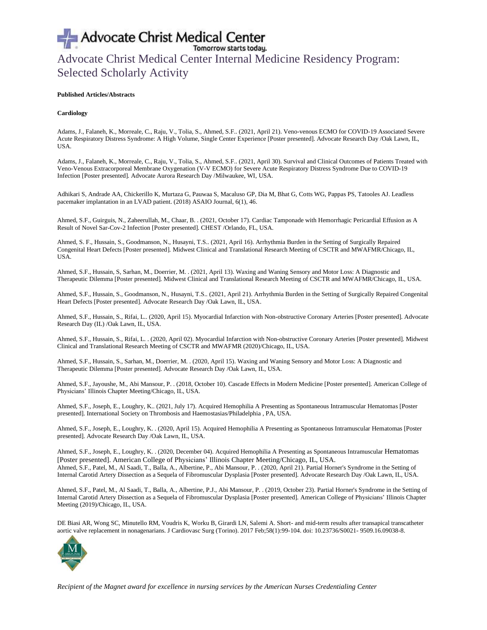## Advocate Christ Medical Center Advocate Christ Medical Center Internal Medicine Residency Program: Selected Scholarly Activity

### **Published Articles/Abstracts**

### **Cardiology**

Adams, J., Falaneh, K., Morreale, C., Raju, V., Tolia, S., Ahmed, S.F.. (2021, April 21). Veno-venous ECMO for COVID-19 Associated Severe Acute Respiratory Distress Syndrome: A High Volume, Single Center Experience [Poster presented]. Advocate Research Day /Oak Lawn, IL, USA.

Adams, J., Falaneh, K., Morreale, C., Raju, V., Tolia, S., Ahmed, S.F.. (2021, April 30). Survival and Clinical Outcomes of Patients Treated with Veno-Venous Extracorporeal Membrane Oxygenation (V-V ECMO) for Severe Acute Respiratory Distress Syndrome Due to COVID-19 Infection [Poster presented]. Advocate Aurora Research Day /Milwaukee, WI, USA.

Adhikari S, Andrade AA, Chickerillo K, Murtaza G, Pauwaa S, Macaluso GP, Dia M, Bhat G, Cotts WG, Pappas PS, Tatooles AJ. Leadless pacemaker implantation in an LVAD patient. (2018) ASAIO Journal, 6(1), 46.

Ahmed, S.F., Guirguis, N., Zaheerullah, M., Chaar, B. . (2021, October 17). Cardiac Tamponade with Hemorrhagic Pericardial Effusion as A Result of Novel Sar-Cov-2 Infection [Poster presented]. CHEST /Orlando, FL, USA.

Ahmed, S. F., Hussain, S., Goodmanson, N., Husayni, T.S.. (2021, April 16). Arrhythmia Burden in the Setting of Surgically Repaired Congenital Heart Defects [Poster presented]. Midwest Clinical and Translational Research Meeting of CSCTR and MWAFMR/Chicago, IL, USA.

Ahmed, S.F., Hussain, S, Sarhan, M., Doerrier, M. . (2021, April 13). Waxing and Waning Sensory and Motor Loss: A Diagnostic and Therapeutic Dilemma [Poster presented]. Midwest Clinical and Translational Research Meeting of CSCTR and MWAFMR/Chicago, IL, USA.

Ahmed, S.F., Hussain, S., Goodmanson, N., Husayni, T.S.. (2021, April 21). Arrhythmia Burden in the Setting of Surgically Repaired Congenital Heart Defects [Poster presented]. Advocate Research Day /Oak Lawn, IL, USA.

Ahmed, S.F., Hussain, S., Rifai, L.. (2020, April 15). Myocardial Infarction with Non-obstructive Coronary Arteries [Poster presented]. Advocate Research Day (IL) /Oak Lawn, IL, USA.

Ahmed, S.F., Hussain, S., Rifai, L. . (2020, April 02). Myocardial Infarction with Non-obstructive Coronary Arteries [Poster presented]. Midwest Clinical and Translational Research Meeting of CSCTR and MWAFMR (2020)/Chicago, IL, USA.

Ahmed, S.F., Hussain, S., Sarhan, M., Doerrier, M. . (2020, April 15). Waxing and Waning Sensory and Motor Loss: A Diagnostic and Therapeutic Dilemma [Poster presented]. Advocate Research Day /Oak Lawn, IL, USA.

Ahmed, S.F., Jayoushe, M., Abi Mansour, P. . (2018, October 10). Cascade Effects in Modern Medicine [Poster presented]. American College of Physicians' Illinois Chapter Meeting/Chicago, IL, USA.

Ahmed, S.F., Joseph, E., Loughry, K.. (2021, July 17). Acquired Hemophilia A Presenting as Spontaneous Intramuscular Hematomas [Poster presented]. International Society on Thrombosis and Haemostasias/Philadelphia , PA, USA.

Ahmed, S.F., Joseph, E., Loughry, K. . (2020, April 15). Acquired Hemophilia A Presenting as Spontaneous Intramuscular Hematomas [Poster presented]. Advocate Research Day /Oak Lawn, IL, USA.

Ahmed, S.F., Joseph, E., Loughry, K. . (2020, December 04). Acquired Hemophilia A Presenting as Spontaneous Intramuscular Hematomas [Poster presented]. American College of Physicians' Illinois Chapter Meeting/Chicago, IL, USA. Ahmed, S.F., Patel, M., Al Saadi, T., Balla, A., Albertine, P., Abi Mansour, P. . (2020, April 21). Partial Horner's Syndrome in the Setting of Internal Carotid Artery Dissection as a Sequela of Fibromuscular Dysplasia [Poster presented]. Advocate Research Day /Oak Lawn, IL, USA.

Ahmed, S.F., Patel, M., Al Saadi, T., Balla, A., Albertine, P.J., Abi Mansour, P. . (2019, October 23). Partial Horner's Syndrome in the Setting of Internal Carotid Artery Dissection as a Sequela of Fibromuscular Dysplasia [Poster presented]. American College of Physicians' Illinois Chapter Meeting (2019)/Chicago, IL, USA.

DE Biasi AR, Wong SC, Minutello RM, Voudris K, Worku B, Girardi LN, Salemi A. Short- and mid-term results after transapical transcatheter aortic valve replacement in nonagenarians. J Cardiovasc Surg (Torino). 2017 Feb;58(1):99-104. doi: 10.23736/S0021- 9509.16.09038-8.

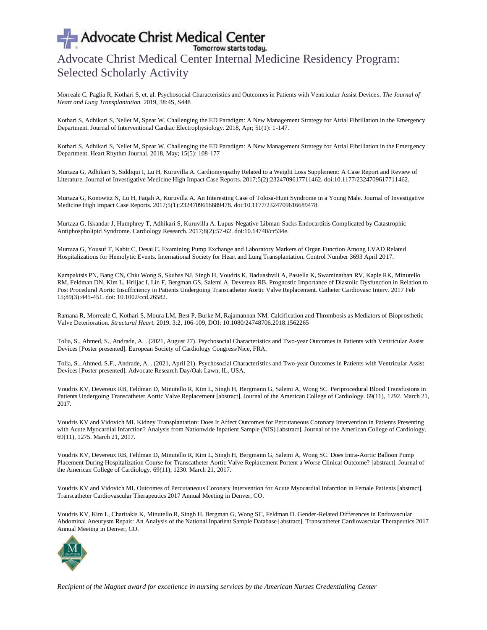## Advocate Christ Medical Center Internal Medicine Residency Program: Selected Scholarly Activity

Morreale C, Paglia R, Kothari S, et. al. Psychosocial Characteristics and Outcomes in Patients with Ventricular Assist Devices. *The Journal of Heart and Lung Transplantation.* 2019, 38:4S, S448

Kothari S, Adhikari S, Nellet M, Spear W. Challenging the ED Paradigm: A New Management Strategy for Atrial Fibrillation in the Emergency Department. Journal of Interventional Cardiac Electrophysiology. 2018, Apr; 51(1): 1-147.

Kothari S, Adhikari S, Nellet M, Spear W. Challenging the ED Paradigm: A New Management Strategy for Atrial Fibrillation in the Emergency Department. Heart Rhythm Journal. 2018, May; 15(5): 108-177

Murtaza G, Adhikari S, Siddiqui I, Lu H, Kuruvilla A. Cardiomyopathy Related to a Weight Loss Supplement: A Case Report and Review of Literature. Journal of Investigative Medicine High Impact Case Reports. 2017;5(2):2324709617711462. doi:10.1177/2324709617711462.

Murtaza G, Konowitz N, Lu H, Faqah A, Kuruvilla A. An Interesting Case of Tolosa-Hunt Syndrome in a Young Male. Journal of Investigative Medicine High Impact Case Reports. 2017;5(1):2324709616689478. doi:10.1177/2324709616689478.

Murtaza G, Iskandar J, Humphrey T, Adhikari S, Kuruvilla A. Lupus-Negative Libman-Sacks Endocarditis Complicated by Catastrophic Antiphospholipid Syndrome. Cardiology Research. 2017;8(2):57-62. doi:10.14740/cr534e.

Murtaza G, Yousuf T, Kabir C, Desai C. Examining Pump Exchange and Laboratory Markers of Organ Function Among LVAD Related Hospitalizations for Hemolytic Events. International Society for Heart and Lung Transplantation. Control Number 3693 April 2017.

Kampaktsis PN, Bang CN, Chiu Wong S, Skubas NJ, Singh H, Voudris K, Baduashvili A, Pastella K, Swaminathan RV, Kaple RK, Minutello RM, Feldman DN, Kim L, Hriljac I, Lin F, Bergman GS, Salemi A, Devereux RB. Prognostic Importance of Diastolic Dysfunction in Relation to Post Procedural Aortic Insufficiency in Patients Undergoing Transcatheter Aortic Valve Replacement. Catheter Cardiovasc Interv. 2017 Feb 15;89(3):445-451. doi: 10.1002/ccd.26582.

Ramana R, Morreale C, Kothari S, Moura LM, Best P, Burke M, Rajamannan NM. Calcification and Thrombosis as Mediators of Bioprosthetic Valve Deterioration. *Structural Heart.* 2019, 3:2, 106-109, DOI: 10.1080/24748706.2018.1562265

Tolia, S., Ahmed, S., Andrade, A. . (2021, August 27). Psychosocial Characteristics and Two-year Outcomes in Patients with Ventricular Assist Devices [Poster presented]. European Society of Cardiology Congress/Nice, FRA.

Tolia, S., Ahmed, S.F., Andrade, A. . (2021, April 21). Psychosocial Characteristics and Two-year Outcomes in Patients with Ventricular Assist Devices [Poster presented]. Advocate Research Day/Oak Lawn, IL, USA.

Voudris KV, Devereux RB, Feldman D, Minutello R, Kim L, Singh H, Bergmann G, Salemi A, Wong SC. Periprocedural Blood Transfusions in Patients Undergoing Transcatheter Aortic Valve Replacement [abstract]. Journal of the American College of Cardiology. 69(11), 1292. March 21, 2017.

Voudris KV and Vidovich MI. Kidney Transplantation: Does It Affect Outcomes for Percutaneous Coronary Intervention in Patients Presenting with Acute Myocardial Infarction? Analysis from Nationwide Inpatient Sample (NIS) [abstract]. Journal of the American College of Cardiology. 69(11), 1275. March 21, 2017.

Voudris KV, Devereux RB, Feldman D, Minutello R, Kim L, Singh H, Bergmann G, Salemi A, Wong SC. Does Intra-Aortic Balloon Pump Placement During Hospitalization Course for Transcatheter Aortic Valve Replacement Portent a Worse Clinical Outcome? [abstract]. Journal of the American College of Cardiology. 69(11), 1230. March 21, 2017.

Voudris KV and Vidovich MI. Outcomes of Percutaneous Coronary Intervention for Acute Myocardial Infarction in Female Patients [abstract]. Transcatheter Cardiovascular Therapeutics 2017 Annual Meeting in Denver, CO.

Voudris KV, Kim L, Charitakis K, Minutello R, Singh H, Bergman G, Wong SC, Feldman D. Gender-Related Differences in Endovascular Abdominal Aneurysm Repair: An Analysis of the National Inpatient Sample Database [abstract]. Transcatheter Cardiovascular Therapeutics 2017 Annual Meeting in Denver, CO.

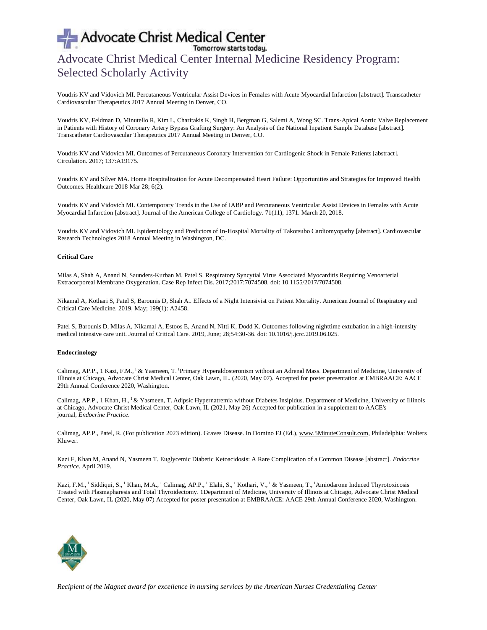## Advocate Christ Medical Center Internal Medicine Residency Program: Selected Scholarly Activity

Voudris KV and Vidovich MI. Percutaneous Ventricular Assist Devices in Females with Acute Myocardial Infarction [abstract]. Transcatheter Cardiovascular Therapeutics 2017 Annual Meeting in Denver, CO.

Voudris KV, Feldman D, Minutello R, Kim L, Charitakis K, Singh H, Bergman G, Salemi A, Wong SC. Trans-Apical Aortic Valve Replacement in Patients with History of Coronary Artery Bypass Grafting Surgery: An Analysis of the National Inpatient Sample Database [abstract]. Transcatheter Cardiovascular Therapeutics 2017 Annual Meeting in Denver, CO.

Voudris KV and Vidovich MI. Outcomes of Percutaneous Coronary Intervention for Cardiogenic Shock in Female Patients [abstract]. Circulation. 2017; 137:A19175.

Voudris KV and Silver MA. Home Hospitalization for Acute Decompensated Heart Failure: Opportunities and Strategies for Improved Health Outcomes. Healthcare 2018 Mar 28; 6(2).

Voudris KV and Vidovich MI. Contemporary Trends in the Use of IABP and Percutaneous Ventricular Assist Devices in Females with Acute Myocardial Infarction [abstract]. Journal of the American College of Cardiology. 71(11), 1371. March 20, 2018.

Voudris KV and Vidovich MI. Epidemiology and Predictors of In-Hospital Mortality of Takotsubo Cardiomyopathy [abstract]. Cardiovascular Research Technologies 2018 Annual Meeting in Washington, DC.

### **Critical Care**

Milas A, Shah A, Anand N, Saunders-Kurban M, Patel S. Respiratory Syncytial Virus Associated Myocarditis Requiring Venoarterial Extracorporeal Membrane Oxygenation. Case Rep Infect Dis. 2017;2017:7074508. doi: 10.1155/2017/7074508.

Nikamal A, Kothari S, Patel S, Barounis D, Shah A.. Effects of a Night Intensivist on Patient Mortality. American Journal of Respiratory and Critical Care Medicine. 2019, May; 199(1): A2458.

Patel S, Barounis D, Milas A, Nikamal A, Estoos E, Anand N, Nitti K, Dodd K. Outcomes following nighttime extubation in a high-intensity medical intensive care unit. Journal of Critical Care. 2019, June; 28;54:30-36. doi: 10.1016/j.jcrc.2019.06.025.

### **Endocrinology**

Calimag, AP.P., 1 Kazi, F.M., <sup>1</sup> & Yasmeen, T. <sup>1</sup>Primary Hyperaldosteronism without an Adrenal Mass. Department of Medicine, University of Illinois at Chicago, Advocate Christ Medical Center, Oak Lawn, IL. (2020, May 07). Accepted for poster presentation at EMBRAACE: AACE 29th Annual Conference 2020, Washington.

Calimag, AP.P., 1 Khan, H., <sup>1</sup> & Yasmeen, T. Adipsic Hypernatremia without Diabetes Insipidus. Department of Medicine, University of Illinois at Chicago, Advocate Christ Medical Center, Oak Lawn, IL (2021, May 26) Accepted for publication in a supplement to AACE's journal, *Endocrine Practice*.

Calimag, AP.P., Patel, R. (For publication 2023 edition). Graves Disease. In Domino FJ (Ed.), [www.5MinuteConsult.com,](http://www.5minuteconsult.com/) Philadelphia: Wolters Kluwer.

Kazi F, Khan M, Anand N, Yasmeen T. Euglycemic Diabetic Ketoacidosis: A Rare Complication of a Common Disease [abstract]. *Endocrine Practice*. April 2019.

Kazi, F.M., <sup>1</sup> Siddiqui, S., <sup>1</sup> Khan, M.A., <sup>1</sup> Calimag, AP.P., <sup>1</sup> Elahi, S., <sup>1</sup> Kothari, V., <sup>1</sup> & Yasmeen, T., <sup>1</sup>Amiodarone Induced Thyrotoxicosis Treated with Plasmapharesis and Total Thyroidectomy. 1Department of Medicine, University of Illinois at Chicago, Advocate Christ Medical Center, Oak Lawn, IL (2020, May 07) Accepted for poster presentation at EMBRAACE: AACE 29th Annual Conference 2020, Washington.

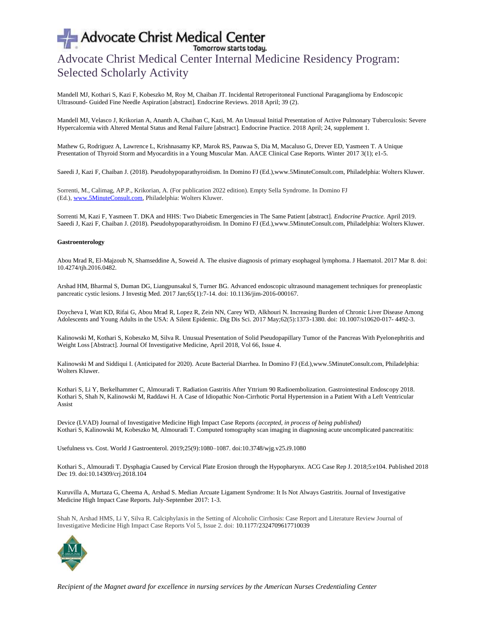## Advocate Christ Medical Center Internal Medicine Residency Program: Selected Scholarly Activity

Mandell MJ, Kothari S, Kazi F, Kobeszko M, Roy M, Chaiban JT. Incidental Retroperitoneal Functional Paraganglioma by Endoscopic Ultrasound- Guided Fine Needle Aspiration [abstract]. Endocrine Reviews. 2018 April; 39 (2).

Mandell MJ, Velasco J, Krikorian A, Ananth A, Chaiban C, Kazi, M. An Unusual Initial Presentation of Active Pulmonary Tuberculosis: Severe Hypercalcemia with Altered Mental Status and Renal Failure [abstract]. Endocrine Practice. 2018 April; 24, supplement 1.

Mathew G, Rodriguez A, Lawrence L, Krishnasamy KP, Marok RS, Pauwaa S, Dia M, Macaluso G, Drever ED, Yasmeen T. A Unique Presentation of Thyroid Storm and Myocarditis in a Young Muscular Man. AACE Clinical Case Reports. Winter 2017 3(1); e1-5.

Saeedi J, Kazi F, Chaiban J. (2018). Pseudohypoparathyroidism. In Domino FJ (Ed.),www.5MinuteConsult.com, Philadelphia: Wolters Kluwer.

Sorrenti, M., Calimag, AP.P., Krikorian, A. (For publication 2022 edition). Empty Sella Syndrome. In Domino FJ (Ed.), [www.5MinuteConsult.com,](http://www.5minuteconsult.com/) Philadelphia: Wolters Kluwer.

Sorrenti M, Kazi F, Yasmeen T. DKA and HHS: Two Diabetic Emergencies in The Same Patient [abstract]. *Endocrine Practice.* April 2019. Saeedi J, Kazi F, Chaiban J. (2018). Pseudohypoparathyroidism. In Domino FJ (Ed.),www.5MinuteConsult.com, Philadelphia: Wolters Kluwer.

## **Gastroenterology**

Abou Mrad R, El-Majzoub N, Shamseddine A, Soweid A. The elusive diagnosis of primary esophageal lymphoma. J Haematol. 2017 Mar 8. doi: 10.4274/tjh.2016.0482.

Arshad HM, Bharmal S, Duman DG, Liangpunsakul S, Turner BG. Advanced endoscopic ultrasound management techniques for preneoplastic pancreatic cystic lesions. J Investig Med. 2017 Jan;65(1):7-14. doi: 10.1136/jim-2016-000167.

Doycheva I, Watt KD, Rifai G, Abou Mrad R, Lopez R, Zein NN, Carey WD, Alkhouri N. Increasing Burden of Chronic Liver Disease Among Adolescents and Young Adults in the USA: A Silent Epidemic. Dig Dis Sci. 2017 May;62(5):1373-1380. doi: 10.1007/s10620-017- 4492-3.

Kalinowski M, Kothari S, Kobeszko M, Silva R. Unusual Presentation of Solid Pseudopapillary Tumor of the Pancreas With Pyelonephritis and Weight Loss [Abstract]. Journal Of Investigative Medicine, April 2018, Vol 66, Issue 4.

Kalinowski M and Siddiqui I. (Anticipated for 2020). Acute Bacterial Diarrhea. In Domino FJ (Ed.),www.5MinuteConsult.com, Philadelphia: Wolters Kluwer.

Kothari S, Li Y, Berkelhammer C, Almouradi T. Radiation Gastritis After Yttrium 90 Radioembolization. Gastrointestinal Endoscopy 2018. Kothari S, Shah N, Kalinowski M, Raddawi H. A Case of Idiopathic Non-Cirrhotic Portal Hypertension in a Patient With a Left Ventricular Assist

Device (LVAD) Journal of Investigative Medicine High Impact Case Reports *(accepted, in process of being published)* Kothari S, Kalinowski M, Kobeszko M, Almouradi T. Computed tomography scan imaging in diagnosing acute uncomplicated pancreatitis:

Usefulness vs. Cost. World J Gastroenterol. 2019;25(9):1080–1087. doi:10.3748/wjg.v25.i9.1080

Kothari S., Almouradi T. Dysphagia Caused by Cervical Plate Erosion through the Hypopharynx. ACG Case Rep J. 2018;5:e104. Published 2018 Dec 19. doi:10.14309/crj.2018.104

Kuruvilla A, Murtaza G, Cheema A, Arshad S. Median Arcuate Ligament Syndrome: It Is Not Always Gastritis. Journal of Investigative Medicine High Impact Case Reports. July-September 2017: 1-3.

Shah N, Arshad HMS, Li Y, Silva R. Calciphylaxis in the Setting of Alcoholic Cirrhosis: Case Report and Literature Review Journal of Investigative Medicine High Impact Case Reports Vol 5, Issue 2. doi: 10.1177/2324709617710039

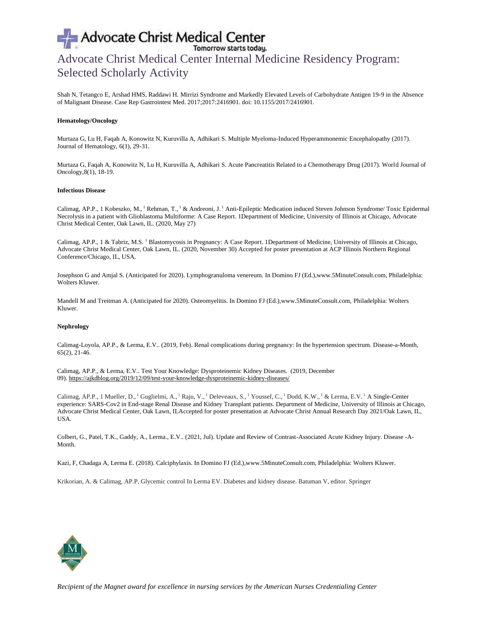# Advocate Christ Medical Center<br>Advocate Christ Medical Center Internal Medicine Residency Program: Selected Scholarly Activity

Shah N, Tetangco E, Arshad HMS, Raddawi H. Mirrizi Syndrome and Markedly Elevated Levels of Carbohydrate Antigen 19-9 in the Absence of Malignant Disease. Case Rep Gastrointest Med. 2017;2017:2416901. doi: 10.1155/2017/2416901.

#### **Hematology/Oncology**

Murtaza G, Lu H, Faqah A, Konowitz N, Kuruvilla A, Adhikari S. Multiple Myeloma-Induced Hyperammonemic Encephalopathy (2017). Journal of Hematology, 6(1), 29-31.

Murtaza G, Faqah A, Konowitz N, Lu H, Kuruvilla A, Adhikari S. Acute Pancreatitis Related to a Chemotherapy Drug (2017). World Journal of Oncology,8(1), 18-19.

#### **Infectious Disease**

Calimag, AP.P., 1 Kobeszko, M., <sup>1</sup> Rehman, T., <sup>1</sup> & Andreoni, J. <sup>1</sup> Anti-Epileptic Medication induced Steven Johnson Syndrome/ Toxic Epidermal Necrolysis in a patient with Glioblastoma Multiforme: A Case Report. 1Department of Medicine, University of Illinois at Chicago, Advocate Christ Medical Center, Oak Lawn, IL. (2020, May 27)

Calimag, AP.P., 1 & Tabriz, M.S. <sup>1</sup> Blastomycosis in Pregnancy: A Case Report. 1Department of Medicine, University of Illinois at Chicago, Advocate Christ Medical Center, Oak Lawn, IL. (2020, November 30) Accepted for poster presentation at ACP Illinois Northern Regional Conference/Chicago, IL, USA.

Josephson G and Amjal S. (Anticipated for 2020). Lymphogranuloma venereum. In Domino FJ (Ed.),www.5MinuteConsult.com, Philadelphia: Wolters Kluwer.

Mandell M and Treitman A. (Anticipated for 2020). Osteomyelitis. In Domino FJ (Ed.),www.5MinuteConsult.com, Philadelphia: Wolters Kluwer.

### **Nephrology**

Calimag-Loyola, AP.P., & Lerma, E.V.. (2019, Feb). Renal complications during pregnancy: In the hypertension spectrum. Disease-a-Month, 65(2), 21-46.

Calimag, AP.P., & Lerma, E.V.. Test Your Knowledge: Dysproteinemic Kidney Diseases. (2019, December 09). <https://ajkdblog.org/2019/12/09/test-your-knowledge-dysproteinemic-kidney-diseases/>

Calimag, AP.P., 1 Mueller, D., <sup>1</sup> Guglielmi, A., <sup>1</sup> Raju, V., <sup>1</sup> Deleveaux, S., <sup>1</sup> Youssef, C., <sup>1</sup> Dodd, K.W., <sup>1</sup> & Lerma, E.V. <sup>1</sup> A Single-Center experience: SARS-Cov2 in End-stage Renal Disease and Kidney Transplant patients. Department of Medicine, University of Illinois at Chicago, Advocate Christ Medical Center, Oak Lawn, ILAccepted for poster presentation at Advocate Christ Annual Research Day 2021/Oak Lawn, IL, USA.

Colbert, G., Patel, T.K., Gaddy, A., Lerma., E.V.. (2021, Jul). Update and Review of Contrast-Associated Acute Kidney Injury. Disease -A-Month.

Kazi, F, Chadaga A, Lerma E. (2018). Calciphylaxis. In Domino FJ (Ed.),www.5MinuteConsult.com, Philadelphia: Wolters Kluwer.

Krikorian, A. & Calimag, AP.P, Glycemic control In Lerma EV. Diabetes and kidney disease. Batuman V, editor. Springer

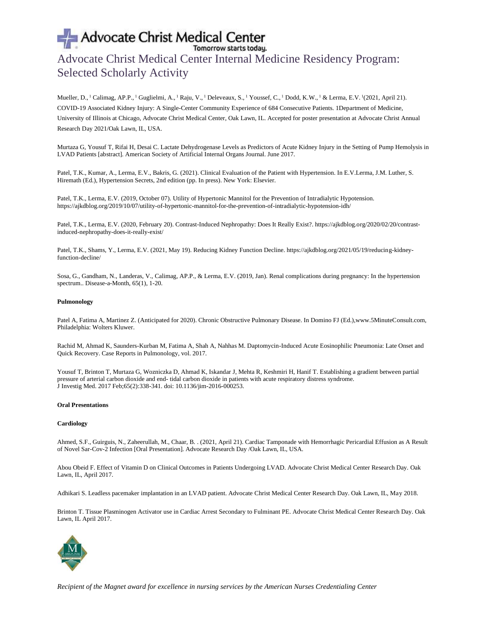# Advocate Christ Medical Center<br>
Tomorrow starts today.<br>
Advocate Christ Medical Center Internal Medicine Residency Program: Selected Scholarly Activity

Mueller, D., <sup>1</sup> Calimag, AP.P., <sup>1</sup> Guglielmi, A., <sup>1</sup> Raju, V., <sup>1</sup> Deleveaux, S., <sup>1</sup> Youssef, C., <sup>1</sup> Dodd, K.W., <sup>1</sup> & Lerma, E.V. <sup>1</sup> (2021, April 21). COVID-19 Associated Kidney Injury: A Single-Center Community Experience of 684 Consecutive Patients. 1Department of Medicine, University of Illinois at Chicago, Advocate Christ Medical Center, Oak Lawn, IL. Accepted for poster presentation at Advocate Christ Annual Research Day 2021/Oak Lawn, IL, USA.

Murtaza G, Yousuf T, Rifai H, Desai C. Lactate Dehydrogenase Levels as Predictors of Acute Kidney Injury in the Setting of Pump Hemolysis in LVAD Patients [abstract]. American Society of Artificial Internal Organs Journal. June 2017.

Patel, T.K., Kumar, A., Lerma, E.V., Bakris, G. (2021). Clinical Evaluation of the Patient with Hypertension. In E.V.Lerma, J.M. Luther, S. Hiremath (Ed.), Hypertension Secrets, 2nd edition (pp. In press). New York: Elsevier.

Patel, T.K., Lerma, E.V. (2019, October 07). Utility of Hypertonic Mannitol for the Prevention of Intradialytic Hypotension. https://ajkdblog.org/2019/10/07/utility-of-hypertonic-mannitol-for-the-prevention-of-intradialytic-hypotension-idh/

Patel, T.K., Lerma, E.V. (2020, February 20). Contrast-Induced Nephropathy: Does It Really Exist?. https://ajkdblog.org/2020/02/20/contrastinduced-nephropathy-does-it-really-exist/

Patel, T.K., Shams, Y., Lerma, E.V. (2021, May 19). Reducing Kidney Function Decline. https://ajkdblog.org/2021/05/19/reducing-kidneyfunction-decline/

Sosa, G., Gandham, N., Landeras, V., Calimag, AP.P., & Lerma, E.V. (2019, Jan). Renal complications during pregnancy: In the hypertension spectrum.. Disease-a-Month, 65(1), 1-20.

### **Pulmonology**

Patel A, Fatima A, Martinez Z. (Anticipated for 2020). Chronic Obstructive Pulmonary Disease. In Domino FJ (Ed.),www.5MinuteConsult.com, Philadelphia: Wolters Kluwer.

Rachid M, Ahmad K, Saunders-Kurban M, Fatima A, Shah A, Nahhas M. Daptomycin-Induced Acute Eosinophilic Pneumonia: Late Onset and Quick Recovery. Case Reports in Pulmonology, vol. 2017.

Yousuf T, Brinton T, Murtaza G, Wozniczka D, Ahmad K, Iskandar J, Mehta R, Keshmiri H, Hanif T. Establishing a gradient between partial pressure of arterial carbon dioxide and end- tidal carbon dioxide in patients with acute respiratory distress syndrome. J Investig Med. 2017 Feb;65(2):338-341. doi: 10.1136/jim-2016-000253.

#### **Oral Presentations**

### **Cardiology**

Ahmed, S.F., Guirguis, N., Zaheerullah, M., Chaar, B. . (2021, April 21). Cardiac Tamponade with Hemorrhagic Pericardial Effusion as A Result of Novel Sar-Cov-2 Infection [Oral Presentation]. Advocate Research Day /Oak Lawn, IL, USA.

Abou Obeid F. Effect of Vitamin D on Clinical Outcomes in Patients Undergoing LVAD. Advocate Christ Medical Center Research Day. Oak Lawn, IL, April 2017.

Adhikari S. Leadless pacemaker implantation in an LVAD patient. Advocate Christ Medical Center Research Day. Oak Lawn, IL, May 2018.

Brinton T. Tissue Plasminogen Activator use in Cardiac Arrest Secondary to Fulminant PE. Advocate Christ Medical Center Research Day. Oak Lawn, IL April 2017.

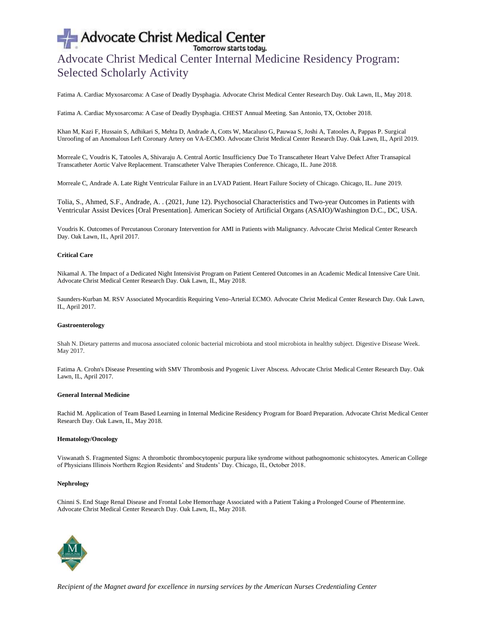# Advocate Christ Medical Center<br>
Tomorrow starts today.<br>
Advocate Christ Medical Center Internal Medicine Residency Program: Selected Scholarly Activity

Fatima A. Cardiac Myxosarcoma: A Case of Deadly Dysphagia. Advocate Christ Medical Center Research Day. Oak Lawn, IL, May 2018.

Fatima A. Cardiac Myxosarcoma: A Case of Deadly Dysphagia. CHEST Annual Meeting. San Antonio, TX, October 2018.

Khan M, Kazi F, Hussain S, Adhikari S, Mehta D, Andrade A, Cotts W, Macaluso G, Pauwaa S, Joshi A, Tatooles A, Pappas P. Surgical Unroofing of an Anomalous Left Coronary Artery on VA-ECMO. Advocate Christ Medical Center Research Day. Oak Lawn, IL, April 2019.

Morreale C, Voudris K, Tatooles A, Shivaraju A. Central Aortic Insufficiency Due To Transcatheter Heart Valve Defect After Transapical Transcatheter Aortic Valve Replacement. Transcatheter Valve Therapies Conference. Chicago, IL. June 2018.

Morreale C, Andrade A. Late Right Ventricular Failure in an LVAD Patient. Heart Failure Society of Chicago. Chicago, IL. June 2019.

Tolia, S., Ahmed, S.F., Andrade, A. . (2021, June 12). Psychosocial Characteristics and Two-year Outcomes in Patients with Ventricular Assist Devices [Oral Presentation]. American Society of Artificial Organs (ASAIO)/Washington D.C., DC, USA.

Voudris K. Outcomes of Percutanous Coronary Intervention for AMI in Patients with Malignancy. Advocate Christ Medical Center Research Day. Oak Lawn, IL, April 2017.

## **Critical Care**

Nikamal A. The Impact of a Dedicated Night Intensivist Program on Patient Centered Outcomes in an Academic Medical Intensive Care Unit. Advocate Christ Medical Center Research Day. Oak Lawn, IL, May 2018.

Saunders-Kurban M. RSV Associated Myocarditis Requiring Veno-Arterial ECMO. Advocate Christ Medical Center Research Day. Oak Lawn, IL, April 2017.

### **Gastroenterology**

Shah N. Dietary patterns and mucosa associated colonic bacterial microbiota and stool microbiota in healthy subject. Digestive Disease Week. May 2017.

Fatima A. Crohn's Disease Presenting with SMV Thrombosis and Pyogenic Liver Abscess. Advocate Christ Medical Center Research Day. Oak Lawn, IL, April 2017.

## **General Internal Medicine**

Rachid M. Application of Team Based Learning in Internal Medicine Residency Program for Board Preparation. Advocate Christ Medical Center Research Day. Oak Lawn, IL, May 2018.

### **Hematology/Oncology**

Viswanath S. Fragmented Signs: A thrombotic thrombocytopenic purpura like syndrome without pathognomonic schistocytes. American College of Physicians Illinois Northern Region Residents' and Students' Day. Chicago, IL, October 2018.

### **Nephrology**

Chinni S. End Stage Renal Disease and Frontal Lobe Hemorrhage Associated with a Patient Taking a Prolonged Course of Phentermine. Advocate Christ Medical Center Research Day. Oak Lawn, IL, May 2018.

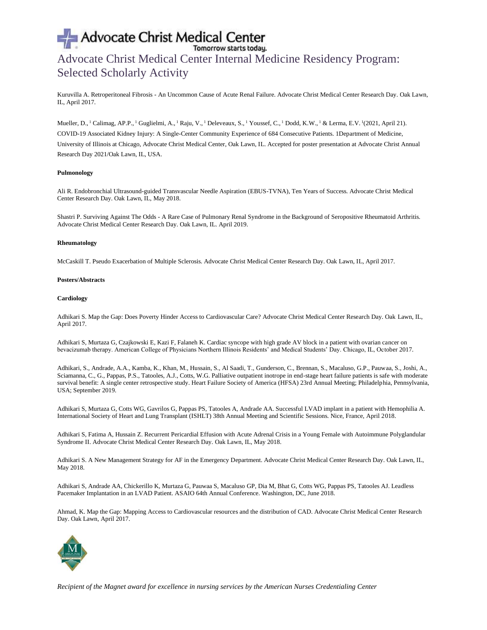## Advocate Christ Medical Center Internal Medicine Residency Program: Selected Scholarly Activity

Kuruvilla A. Retroperitoneal Fibrosis - An Uncommon Cause of Acute Renal Failure. Advocate Christ Medical Center Research Day. Oak Lawn, IL, April 2017.

Mueller, D., <sup>1</sup> Calimag, AP.P., <sup>1</sup> Guglielmi, A., <sup>1</sup> Raju, V., <sup>1</sup> Deleveaux, S., <sup>1</sup> Youssef, C., <sup>1</sup> Dodd, K.W., <sup>1</sup> & Lerma, E.V. <sup>1</sup> (2021, April 21). COVID-19 Associated Kidney Injury: A Single-Center Community Experience of 684 Consecutive Patients. 1Department of Medicine, University of Illinois at Chicago, Advocate Christ Medical Center, Oak Lawn, IL. Accepted for poster presentation at Advocate Christ Annual Research Day 2021/Oak Lawn, IL, USA.

### **Pulmonology**

Ali R. Endobronchial Ultrasound-guided Transvascular Needle Aspiration (EBUS-TVNA), Ten Years of Success. Advocate Christ Medical Center Research Day. Oak Lawn, IL, May 2018.

Shastri P. Surviving Against The Odds - A Rare Case of Pulmonary Renal Syndrome in the Background of Seropositive Rheumatoid Arthritis. Advocate Christ Medical Center Research Day. Oak Lawn, IL. April 2019.

#### **Rheumatology**

McCaskill T. Pseudo Exacerbation of Multiple Sclerosis. Advocate Christ Medical Center Research Day. Oak Lawn, IL, April 2017.

### **Posters/Abstracts**

#### **Cardiology**

Adhikari S. Map the Gap: Does Poverty Hinder Access to Cardiovascular Care? Advocate Christ Medical Center Research Day. Oak Lawn, IL, April 2017.

Adhikari S, Murtaza G, Czajkowski E, Kazi F, Falaneh K. Cardiac syncope with high grade AV block in a patient with ovarian cancer on bevacizumab therapy. American College of Physicians Northern Illinois Residents' and Medical Students' Day. Chicago, IL, October 2017.

Adhikari, S., Andrade, A.A., Kamba, K., Khan, M., Hussain, S., Al Saadi, T., Gunderson, C., Brennan, S., Macaluso, G.P., Pauwaa, S., Joshi, A., Sciamanna, C., G., Pappas, P.S., Tatooles, A.J., Cotts, W.G. Palliative outpatient inotrope in end-stage heart failure patients is safe with moderate survival benefit: A single center retrospective study. Heart Failure Society of America (HFSA) 23rd Annual Meeting; Philadelphia, Pennsylvania, USA; September 2019.

Adhikari S, Murtaza G, Cotts WG, Gavrilos G, Pappas PS, Tatooles A, Andrade AA. Successful LVAD implant in a patient with Hemophilia A. International Society of Heart and Lung Transplant (ISHLT) 38th Annual Meeting and Scientific Sessions. Nice, France, April 2018.

Adhikari S, Fatima A, Hussain Z. Recurrent Pericardial Effusion with Acute Adrenal Crisis in a Young Female with Autoimmune Polyglandular Syndrome II. Advocate Christ Medical Center Research Day. Oak Lawn, IL, May 2018.

Adhikari S. A New Management Strategy for AF in the Emergency Department. Advocate Christ Medical Center Research Day. Oak Lawn, IL, May 2018.

Adhikari S, Andrade AA, Chickerillo K, Murtaza G, Pauwaa S, Macaluso GP, Dia M, Bhat G, Cotts WG, Pappas PS, Tatooles AJ. Leadless Pacemaker Implantation in an LVAD Patient. ASAIO 64th Annual Conference. Washington, DC, June 2018.

Ahmad, K. Map the Gap: Mapping Access to Cardiovascular resources and the distribution of CAD. Advocate Christ Medical Center Research Day. Oak Lawn, April 2017.

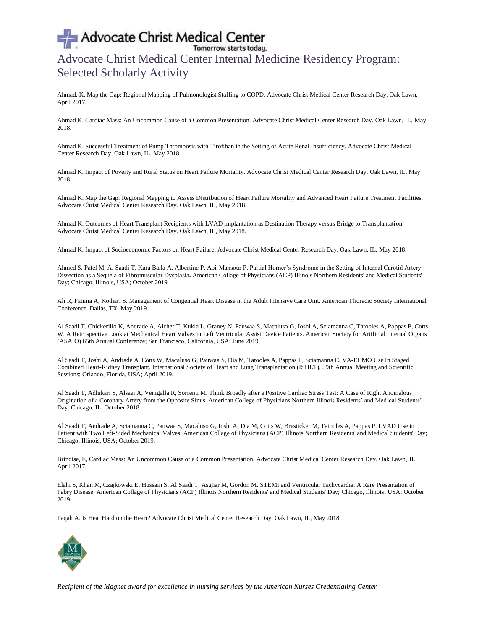## Advocate Christ Medical Center Internal Medicine Residency Program: Selected Scholarly Activity

Ahmad, K. Map the Gap: Regional Mapping of Pulmonologist Staffing to COPD. Advocate Christ Medical Center Research Day. Oak Lawn, April 2017.

Ahmad K. Cardiac Mass: An Uncommon Cause of a Common Presentation. Advocate Christ Medical Center Research Day. Oak Lawn, IL, May 2018.

Ahmad K. Successful Treatment of Pump Thrombosis with Tirofiban in the Setting of Acute Renal Insufficiency. Advocate Christ Medical Center Research Day. Oak Lawn, IL, May 2018.

Ahmad K. Impact of Poverty and Rural Status on Heart Failure Mortality. Advocate Christ Medical Center Research Day. Oak Lawn, IL, May 2018.

Ahmad K. Map the Gap: Regional Mapping to Assess Distribution of Heart Failure Mortality and Advanced Heart Failure Treatment Facilities. Advocate Christ Medical Center Research Day. Oak Lawn, IL, May 2018.

Ahmad K. Outcomes of Heart Transplant Recipients with LVAD implantation as Destination Therapy versus Bridge to Transplantation. Advocate Christ Medical Center Research Day. Oak Lawn, IL, May 2018.

Ahmad K. Impact of Socioeconomic Factors on Heart Failure. Advocate Christ Medical Center Research Day. Oak Lawn, IL, May 2018.

Ahmed S, Patel M, Al Saadi T, Kara Balla A, Albertine P, Abi-Mansour P. Partial Horner's Syndrome in the Setting of Internal Carotid Artery Dissection as a Sequela of Fibromuscular Dysplasia**.** American Collage of Physicians (ACP) Illinois Northern Residents' and Medical Students' Day; Chicago, Illinois, USA; October 2019

Ali R, Fatima A, Kothari S. Management of Congential Heart Disease in the Adult Intensive Care Unit. American Thoracic Society International Conference. Dallas, TX. May 2019.

Al Saadi T, Chickerillo K, Andrade A, Aicher T, Kukla L, Graney N, Pauwaa S, Macaluso G, Joshi A, Sciamanna C, Tatooles A, Pappas P, Cotts W. A Retrospective Look at Mechanical Heart Valves in Left Ventricular Assist Device Patients. American Society for Artificial Internal Organs (ASAIO) 65th Annual Conference; San Francisco, California, USA; June 2019.

Al Saadi T, Joshi A, Andrade A, Cotts W, Macaluso G, Pauwaa S, Dia M, Tatooles A, Pappas P, Sciamanna C. VA-ECMO Use In Staged Combined Heart-Kidney Transplant. International Society of Heart and Lung Transplantation (ISHLT), 39th Annual Meeting and Scientific Sessions; Orlando, Florida, USA; April 2019.

Al Saadi T, Adhikari S, Alsaei A, Venigalla R, Sorrenti M. Think Broadly after a Positive Cardiac Stress Test: A Case of Right Anomalous Origination of a Coronary Artery from the Opposite Sinus. American College of Physicians Northern Illinois Residents' and Medical Students' Day. Chicago, IL, October 2018.

Al Saadi T, Andrade A, Sciamanna C, Pauwaa S, Macaluso G, Joshi A, Dia M, Cotts W, Bresticker M, Tatooles A, Pappas P. LVAD Use in Patient with Two Left-Sided Mechanical Valves. American Collage of Physicians (ACP) Illinois Northern Residents' and Medical Students' Day; Chicago, Illinois, USA; October 2019.

Brindise, E, Cardiac Mass: An Uncommon Cause of a Common Presentation. Advocate Christ Medical Center Research Day. Oak Lawn, IL, April 2017.

Elahi S, Khan M, Czajkowski E, Hussain S, Al Saadi T, Asghar M, Gordon M. STEMI and Ventricular Tachycardia: A Rare Presentation of Fabry Disease. American Collage of Physicians (ACP) Illinois Northern Residents' and Medical Students' Day; Chicago, Illinois, USA; October 2019.

Faqah A. Is Heat Hard on the Heart? Advocate Christ Medical Center Research Day. Oak Lawn, IL, May 2018.

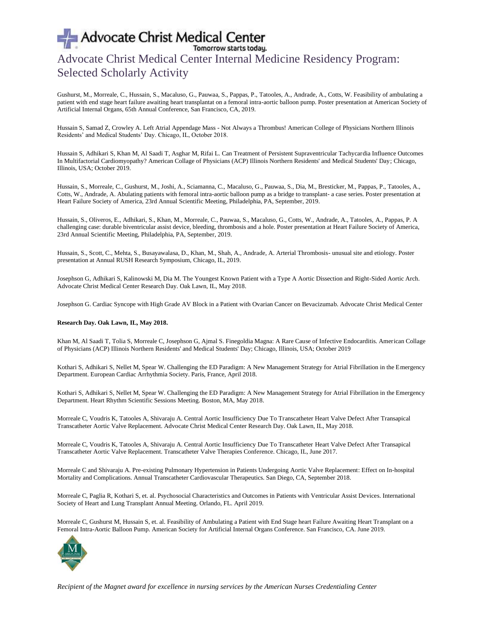## Advocate Christ Medical Center Internal Medicine Residency Program: Selected Scholarly Activity

Gushurst, M., Morreale, C., Hussain, S., Macaluso, G., Pauwaa, S., Pappas, P., Tatooles, A., Andrade, A., Cotts, W. Feasibility of ambulating a patient with end stage heart failure awaiting heart transplantat on a femoral intra-aortic balloon pump. Poster presentation at American Society of Artificial Internal Organs, 65th Annual Conference, San Francisco, CA, 2019.

Hussain S, Samad Z, Crowley A. Left Atrial Appendage Mass - Not Always a Thrombus! American College of Physicians Northern Illinois Residents' and Medical Students' Day. Chicago, IL, October 2018.

Hussain S, Adhikari S, Khan M, Al Saadi T, Asghar M, Rifai L. Can Treatment of Persistent Supraventricular Tachycardia Influence Outcomes In Multifactorial Cardiomyopathy? American Collage of Physicians (ACP) Illinois Northern Residents' and Medical Students' Day; Chicago, Illinois, USA; October 2019.

Hussain, S., Morreale, C., Gushurst, M., Joshi, A., Sciamanna, C., Macaluso, G., Pauwaa, S., Dia, M., Bresticker, M., Pappas, P., Tatooles, A., Cotts, W., Andrade, A. Abulating patients with femoral intra-aortic balloon pump as a bridge to transplant- a case series. Poster presentation at Heart Failure Society of America, 23rd Annual Scientific Meeting, Philadelphia, PA, September, 2019.

Hussain, S., Oliveros, E., Adhikari, S., Khan, M., Morreale, C., Pauwaa, S., Macaluso, G., Cotts, W., Andrade, A., Tatooles, A., Pappas, P. A challenging case: durable biventricular assist device, bleeding, thrombosis and a hole. Poster presentation at Heart Failure Society of America, 23rd Annual Scientific Meeting, Philadelphia, PA, September, 2019.

Hussain, S., Scott, C., Mehta, S., Busayawalasa, D., Khan, M., Shah, A., Andrade, A. Arterial Thrombosis- unusual site and etiology. Poster presentation at Annual RUSH Research Symposium, Chicago, IL, 2019.

Josephson G, Adhikari S, Kalinowski M, Dia M. The Youngest Known Patient with a Type A Aortic Dissection and Right-Sided Aortic Arch. Advocate Christ Medical Center Research Day. Oak Lawn, IL, May 2018.

Josephson G. Cardiac Syncope with High Grade AV Block in a Patient with Ovarian Cancer on Bevacizumab. Advocate Christ Medical Center

### **Research Day. Oak Lawn, IL, May 2018.**

Khan M, Al Saadi T, Tolia S, Morreale C, Josephson G, Ajmal S. Finegoldia Magna: A Rare Cause of Infective Endocarditis. American Collage of Physicians (ACP) Illinois Northern Residents' and Medical Students' Day; Chicago, Illinois, USA; October 2019

Kothari S, Adhikari S, Nellet M, Spear W. Challenging the ED Paradigm: A New Management Strategy for Atrial Fibrillation in the Emergency Department. European Cardiac Arrhythmia Society. Paris, France, April 2018.

Kothari S, Adhikari S, Nellet M, Spear W. Challenging the ED Paradigm: A New Management Strategy for Atrial Fibrillation in the Emergency Department. Heart Rhythm Scientific Sessions Meeting. Boston, MA, May 2018.

Morreale C, Voudris K, Tatooles A, Shivaraju A. Central Aortic Insufficiency Due To Transcatheter Heart Valve Defect After Transapical Transcatheter Aortic Valve Replacement. Advocate Christ Medical Center Research Day. Oak Lawn, IL, May 2018.

Morreale C, Voudris K, Tatooles A, Shivaraju A. Central Aortic Insufficiency Due To Transcatheter Heart Valve Defect After Transapical Transcatheter Aortic Valve Replacement. Transcatheter Valve Therapies Conference. Chicago, IL, June 2017.

Morreale C and Shivaraju A. Pre-existing Pulmonary Hypertension in Patients Undergoing Aortic Valve Replacement: Effect on In-hospital Mortality and Complications. Annual Transcatheter Cardiovascular Therapeutics. San Diego, CA, September 2018.

Morreale C, Paglia R, Kothari S, et. al. Psychosocial Characteristics and Outcomes in Patients with Ventricular Assist Devices. International Society of Heart and Lung Transplant Annual Meeting. Orlando, FL. April 2019.

Morreale C, Gushurst M, Hussain S, et. al. Feasibility of Ambulating a Patient with End Stage heart Failure Awaiting Heart Transplant on a Femoral Intra-Aortic Balloon Pump. American Society for Artificial Internal Organs Conference. San Francisco, CA. June 2019.

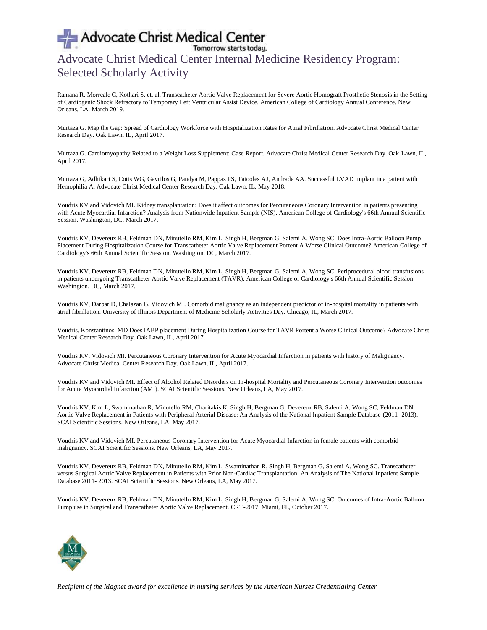# Advocate Christ Medical Center<br>Advocate Christ Medical Center Internal Medicine Residency Program: Selected Scholarly Activity

Ramana R, Morreale C, Kothari S, et. al. Transcatheter Aortic Valve Replacement for Severe Aortic Homograft Prosthetic Stenosis in the Setting of Cardiogenic Shock Refractory to Temporary Left Ventricular Assist Device. American College of Cardiology Annual Conference. New Orleans, LA. March 2019.

Murtaza G. Map the Gap: Spread of Cardiology Workforce with Hospitalization Rates for Atrial Fibrillation. Advocate Christ Medical Center Research Day. Oak Lawn, IL, April 2017.

Murtaza G. Cardiomyopathy Related to a Weight Loss Supplement: Case Report. Advocate Christ Medical Center Research Day. Oak Lawn, IL, April 2017.

Murtaza G, Adhikari S, Cotts WG, Gavrilos G, Pandya M, Pappas PS, Tatooles AJ, Andrade AA. Successful LVAD implant in a patient with Hemophilia A. Advocate Christ Medical Center Research Day. Oak Lawn, IL, May 2018.

Voudris KV and Vidovich MI. Kidney transplantation: Does it affect outcomes for Percutaneous Coronary Intervention in patients presenting with Acute Myocardial Infarction? Analysis from Nationwide Inpatient Sample (NIS). American College of Cardiology's 66th Annual Scientific Session. Washington, DC, March 2017.

Voudris KV, Devereux RB, Feldman DN, Minutello RM, Kim L, Singh H, Bergman G, Salemi A, Wong SC. Does Intra-Aortic Balloon Pump Placement During Hospitalization Course for Transcatheter Aortic Valve Replacement Portent A Worse Clinical Outcome? American College of Cardiology's 66th Annual Scientific Session. Washington, DC, March 2017.

Voudris KV, Devereux RB, Feldman DN, Minutello RM, Kim L, Singh H, Bergman G, Salemi A, Wong SC. Periprocedural blood transfusions in patients undergoing Transcatheter Aortic Valve Replacement (TAVR). American College of Cardiology's 66th Annual Scientific Session. Washington, DC, March 2017.

Voudris KV, Darbar D, Chalazan B, Vidovich MI. Comorbid malignancy as an independent predictor of in-hospital mortality in patients with atrial fibrillation. University of Illinois Department of Medicine Scholarly Activities Day. Chicago, IL, March 2017.

Voudris, Konstantinos, MD Does IABP placement During Hospitalization Course for TAVR Portent a Worse Clinical Outcome? Advocate Christ Medical Center Research Day. Oak Lawn, IL, April 2017.

Voudris KV, Vidovich MI. Percutaneous Coronary Intervention for Acute Myocardial Infarction in patients with history of Malignancy. Advocate Christ Medical Center Research Day. Oak Lawn, IL, April 2017.

Voudris KV and Vidovich MI. Effect of Alcohol Related Disorders on In-hospital Mortality and Percutaneous Coronary Intervention outcomes for Acute Myocardial Infarction (AMI). SCAI Scientific Sessions. New Orleans, LA, May 2017.

Voudris KV, Kim L, Swaminathan R, Minutello RM, Charitakis K, Singh H, Bergman G, Devereux RB, Salemi A, Wong SC, Feldman DN. Aortic Valve Replacement in Patients with Peripheral Arterial Disease: An Analysis of the National Inpatient Sample Database (2011- 2013). SCAI Scientific Sessions. New Orleans, LA, May 2017.

Voudris KV and Vidovich MI. Percutaneous Coronary Intervention for Acute Myocardial Infarction in female patients with comorbid malignancy. SCAI Scientific Sessions. New Orleans, LA, May 2017.

Voudris KV, Devereux RB, Feldman DN, Minutello RM, Kim L, Swaminathan R, Singh H, Bergman G, Salemi A, Wong SC. Transcatheter versus Surgical Aortic Valve Replacement in Patients with Prior Non-Cardiac Transplantation: An Analysis of The National Inpatient Sample Database 2011- 2013. SCAI Scientific Sessions. New Orleans, LA, May 2017.

Voudris KV, Devereux RB, Feldman DN, Minutello RM, Kim L, Singh H, Bergman G, Salemi A, Wong SC. Outcomes of Intra-Aortic Balloon Pump use in Surgical and Transcatheter Aortic Valve Replacement. CRT-2017. Miami, FL, October 2017.

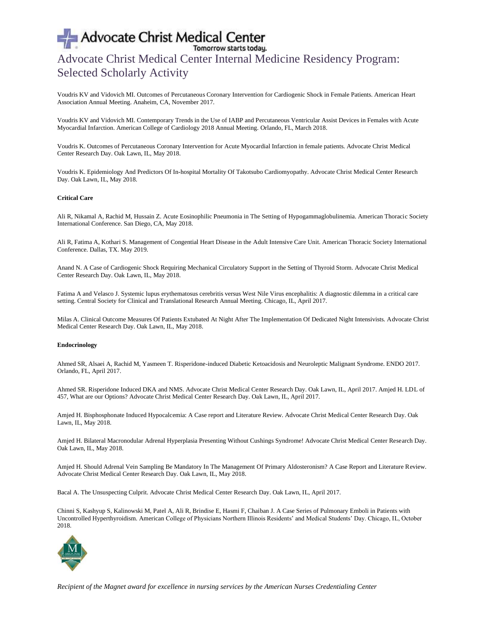## Advocate Christ Medical Center Internal Medicine Residency Program: Selected Scholarly Activity

Voudris KV and Vidovich MI. Outcomes of Percutaneous Coronary Intervention for Cardiogenic Shock in Female Patients. American Heart Association Annual Meeting. Anaheim, CA, November 2017.

Voudris KV and Vidovich MI. Contemporary Trends in the Use of IABP and Percutaneous Ventricular Assist Devices in Females with Acute Myocardial Infarction. American College of Cardiology 2018 Annual Meeting. Orlando, FL, March 2018.

Voudris K. Outcomes of Percutaneous Coronary Intervention for Acute Myocardial Infarction in female patients. Advocate Christ Medical Center Research Day. Oak Lawn, IL, May 2018.

Voudris K. Epidemiology And Predictors Of In-hospital Mortality Of Takotsubo Cardiomyopathy. Advocate Christ Medical Center Research Day. Oak Lawn, IL, May 2018.

## **Critical Care**

Ali R, Nikamal A, Rachid M, Hussain Z. Acute Eosinophilic Pneumonia in The Setting of Hypogammaglobulinemia. American Thoracic Society International Conference. San Diego, CA, May 2018.

Ali R, Fatima A, Kothari S. Management of Congential Heart Disease in the Adult Intensive Care Unit. American Thoracic Society International Conference. Dallas, TX. May 2019.

Anand N. A Case of Cardiogenic Shock Requiring Mechanical Circulatory Support in the Setting of Thyroid Storm. Advocate Christ Medical Center Research Day. Oak Lawn, IL, May 2018.

Fatima A and Velasco J. Systemic lupus erythematosus cerebritis versus West Nile Virus encephalitis: A diagnostic dilemma in a critical care setting. Central Society for Clinical and Translational Research Annual Meeting. Chicago, IL, April 2017.

Milas A. Clinical Outcome Measures Of Patients Extubated At Night After The Implementation Of Dedicated Night Intensivists. Advocate Christ Medical Center Research Day. Oak Lawn, IL, May 2018.

#### **Endocrinology**

Ahmed SR, Alsaei A, Rachid M, Yasmeen T. Risperidone-induced Diabetic Ketoacidosis and Neuroleptic Malignant Syndrome. ENDO 2017. Orlando, FL, April 2017.

Ahmed SR. Risperidone Induced DKA and NMS. Advocate Christ Medical Center Research Day. Oak Lawn, IL, April 2017. Amjed H. LDL of 457, What are our Options? Advocate Christ Medical Center Research Day. Oak Lawn, IL, April 2017.

Amjed H. Bisphosphonate Induced Hypocalcemia: A Case report and Literature Review. Advocate Christ Medical Center Research Day. Oak Lawn, IL, May 2018.

Amjed H. Bilateral Macronodular Adrenal Hyperplasia Presenting Without Cushings Syndrome! Advocate Christ Medical Center Research Day. Oak Lawn, IL, May 2018.

Amjed H. Should Adrenal Vein Sampling Be Mandatory In The Management Of Primary Aldosteronism? A Case Report and Literature Review. Advocate Christ Medical Center Research Day. Oak Lawn, IL, May 2018.

Bacal A. The Unsuspecting Culprit. Advocate Christ Medical Center Research Day. Oak Lawn, IL, April 2017.

Chinni S, Kashyup S, Kalinowski M, Patel A, Ali R, Brindise E, Hasmi F, Chaiban J. A Case Series of Pulmonary Emboli in Patients with Uncontrolled Hyperthyroidism. American College of Physicians Northern Illinois Residents' and Medical Students' Day. Chicago, IL, October 2018.

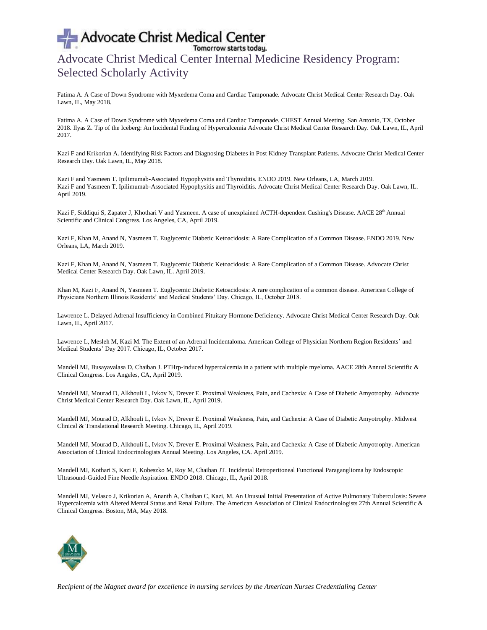## Advocate Christ Medical Center Internal Medicine Residency Program: Selected Scholarly Activity

Fatima A. A Case of Down Syndrome with Myxedema Coma and Cardiac Tamponade. Advocate Christ Medical Center Research Day. Oak Lawn, IL, May 2018.

Fatima A. A Case of Down Syndrome with Myxedema Coma and Cardiac Tamponade. CHEST Annual Meeting. San Antonio, TX, October 2018. Ilyas Z. Tip of the Iceberg: An Incidental Finding of Hypercalcemia Advocate Christ Medical Center Research Day. Oak Lawn, IL, April 2017.

Kazi F and Krikorian A. Identifying Risk Factors and Diagnosing Diabetes in Post Kidney Transplant Patients. Advocate Christ Medical Center Research Day. Oak Lawn, IL, May 2018.

Kazi F and Yasmeen T. Ipilimumab-Associated Hypophysitis and Thyroiditis. ENDO 2019. New Orleans, LA, March 2019. Kazi F and Yasmeen T. Ipilimumab-Associated Hypophysitis and Thyroiditis. Advocate Christ Medical Center Research Day. Oak Lawn, IL. April 2019.

Kazi F, Siddiqui S, Zapater J, Khothari V and Yasmeen. A case of unexplained ACTH-dependent Cushing's Disease. AACE 28<sup>th</sup> Annual Scientific and Clinical Congress. Los Angeles, CA, April 2019.

Kazi F, Khan M, Anand N, Yasmeen T. Euglycemic Diabetic Ketoacidosis: A Rare Complication of a Common Disease. ENDO 2019. New Orleans, LA, March 2019.

Kazi F, Khan M, Anand N, Yasmeen T. Euglycemic Diabetic Ketoacidosis: A Rare Complication of a Common Disease. Advocate Christ Medical Center Research Day. Oak Lawn, IL. April 2019.

Khan M, Kazi F, Anand N, Yasmeen T. Euglycemic Diabetic Ketoacidosis: A rare complication of a common disease. American College of Physicians Northern Illinois Residents' and Medical Students' Day. Chicago, IL, October 2018.

Lawrence L. Delayed Adrenal Insufficiency in Combined Pituitary Hormone Deficiency. Advocate Christ Medical Center Research Day. Oak Lawn, IL, April 2017.

Lawrence L, Mesleh M, Kazi M. The Extent of an Adrenal Incidentaloma. American College of Physician Northern Region Residents' and Medical Students' Day 2017. Chicago, IL, October 2017.

Mandell MJ, Busayavalasa D, Chaiban J. PTHrp-induced hypercalcemia in a patient with multiple myeloma. AACE 28th Annual Scientific & Clinical Congress. Los Angeles, CA, April 2019.

Mandell MJ, Mourad D, Alkhouli L, Ivkov N, Drever E. Proximal Weakness, Pain, and Cachexia: A Case of Diabetic Amyotrophy. Advocate Christ Medical Center Research Day. Oak Lawn, IL, April 2019.

Mandell MJ, Mourad D, Alkhouli L, Ivkov N, Drever E. Proximal Weakness, Pain, and Cachexia: A Case of Diabetic Amyotrophy. Midwest Clinical & Translational Research Meeting. Chicago, IL, April 2019.

Mandell MJ, Mourad D, Alkhouli L, Ivkov N, Drever E. Proximal Weakness, Pain, and Cachexia: A Case of Diabetic Amyotrophy. American Association of Clinical Endocrinologists Annual Meeting. Los Angeles, CA. April 2019.

Mandell MJ, Kothari S, Kazi F, Kobeszko M, Roy M, Chaiban JT. Incidental Retroperitoneal Functional Paraganglioma by Endoscopic Ultrasound-Guided Fine Needle Aspiration. ENDO 2018. Chicago, IL, April 2018.

Mandell MJ, Velasco J, Krikorian A, Ananth A, Chaiban C, Kazi, M. An Unusual Initial Presentation of Active Pulmonary Tuberculosis: Severe Hypercalcemia with Altered Mental Status and Renal Failure. The American Association of Clinical Endocrinologists 27th Annual Scientific & Clinical Congress. Boston, MA, May 2018.

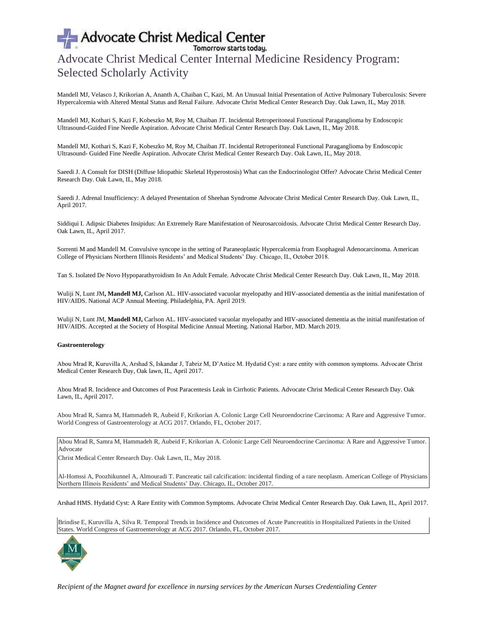## Advocate Christ Medical Center Internal Medicine Residency Program: Selected Scholarly Activity

Mandell MJ, Velasco J, Krikorian A, Ananth A, Chaiban C, Kazi, M. An Unusual Initial Presentation of Active Pulmonary Tuberculosis: Severe Hypercalcemia with Altered Mental Status and Renal Failure. Advocate Christ Medical Center Research Day. Oak Lawn, IL, May 2018.

Mandell MJ, Kothari S, Kazi F, Kobeszko M, Roy M, Chaiban JT. Incidental Retroperitoneal Functional Paraganglioma by Endoscopic Ultrasound-Guided Fine Needle Aspiration. Advocate Christ Medical Center Research Day. Oak Lawn, IL, May 2018.

Mandell MJ, Kothari S, Kazi F, Kobeszko M, Roy M, Chaiban JT. Incidental Retroperitoneal Functional Paraganglioma by Endoscopic Ultrasound- Guided Fine Needle Aspiration. Advocate Christ Medical Center Research Day. Oak Lawn, IL, May 2018.

Saeedi J. A Consult for DISH (Diffuse Idiopathic Skeletal Hyperostosis) What can the Endocrinologist Offer? Advocate Christ Medical Center Research Day. Oak Lawn, IL, May 2018.

Saeedi J. Adrenal Insufficiency: A delayed Presentation of Sheehan Syndrome Advocate Christ Medical Center Research Day. Oak Lawn, IL, April 2017.

Siddiqui I. Adipsic Diabetes Insipidus: An Extremely Rare Manifestation of Neurosarcoidosis. Advocate Christ Medical Center Research Day. Oak Lawn, IL, April 2017.

Sorrenti M and Mandell M. Convulsive syncope in the setting of Paraneoplastic Hypercalcemia from Esophageal Adenocarcinoma. American College of Physicians Northern Illinois Residents' and Medical Students' Day. Chicago, IL, October 2018.

Tan S. Isolated De Novo Hypoparathyroidism In An Adult Female. Advocate Christ Medical Center Research Day. Oak Lawn, IL, May 2018.

Wuliji N, Lunt JM**, Mandell MJ,** Carlson AL. HIV-associated vacuolar myelopathy and HIV-associated dementia as the initial manifestation of HIV/AIDS. National ACP Annual Meeting. Philadelphia, PA. April 2019.

Wuliji N, Lunt JM, Mandell MJ, Carlson AL. HIV-associated vacuolar myelopathy and HIV-associated dementia as the initial manifestation of HIV/AIDS. Accepted at the Society of Hospital Medicine Annual Meeting. National Harbor, MD. March 2019.

### **Gastroenterology**

Abou Mrad R, Kuruvilla A, Arshad S, Iskandar J, Tabriz M, D'Astice M. Hydatid Cyst: a rare entity with common symptoms. Advocate Christ Medical Center Research Day, Oak lawn, IL, April 2017.

Abou Mrad R. Incidence and Outcomes of Post Paracentesis Leak in Cirrhotic Patients. Advocate Christ Medical Center Research Day. Oak Lawn, IL, April 2017.

Abou Mrad R, Samra M, Hammadeh R, Aubeid F, Krikorian A. Colonic Large Cell Neuroendocrine Carcinoma: A Rare and Aggressive Tumor. World Congress of Gastroenterology at ACG 2017. Orlando, FL, October 2017.

Abou Mrad R, Samra M, Hammadeh R, Aubeid F, Krikorian A. Colonic Large Cell Neuroendocrine Carcinoma: A Rare and Aggressive Tumor. Advocate

Christ Medical Center Research Day. Oak Lawn, IL, May 2018.

Al-Homssi A, Poozhikunnel A, Almouradi T. Pancreatic tail calcification: incidental finding of a rare neoplasm. American College of Physicians Northern Illinois Residents' and Medical Students' Day. Chicago, IL, October 2017.

Arshad HMS. Hydatid Cyst: A Rare Entity with Common Symptoms. Advocate Christ Medical Center Research Day. Oak Lawn, IL, April 2017.

Brindise E, Kuruvilla A, Silva R. Temporal Trends in Incidence and Outcomes of Acute Pancreatitis in Hospitalized Patients in the United States. World Congress of Gastroenterology at ACG 2017. Orlando, FL, October 2017.

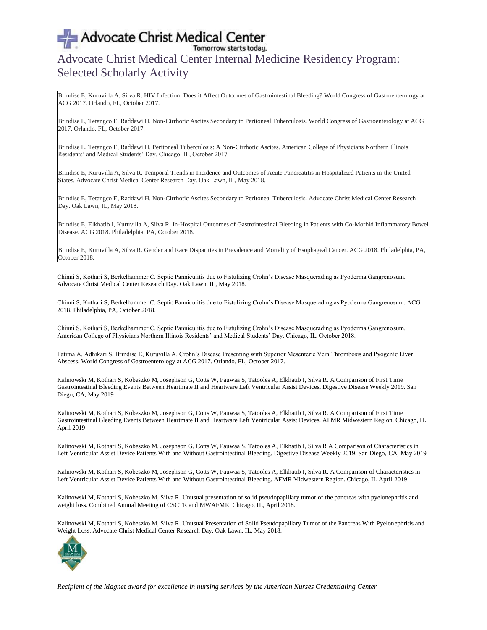## Advocate Christ Medical Center Internal Medicine Residency Program: Selected Scholarly Activity

Brindise E, Kuruvilla A, Silva R. HIV Infection: Does it Affect Outcomes of Gastrointestinal Bleeding? World Congress of Gastroenterology at ACG 2017. Orlando, FL, October 2017.

Brindise E, Tetangco E, Raddawi H. Non-Cirrhotic Ascites Secondary to Peritoneal Tuberculosis. World Congress of Gastroenterology at ACG 2017. Orlando, FL, October 2017.

Brindise E, Tetangco E, Raddawi H. Peritoneal Tuberculosis: A Non-Cirrhotic Ascites. American College of Physicians Northern Illinois Residents' and Medical Students' Day. Chicago, IL, October 2017.

Brindise E, Kuruvilla A, Silva R. Temporal Trends in Incidence and Outcomes of Acute Pancreatitis in Hospitalized Patients in the United States. Advocate Christ Medical Center Research Day. Oak Lawn, IL, May 2018.

Brindise E, Tetangco E, Raddawi H. Non-Cirrhotic Ascites Secondary to Peritoneal Tuberculosis. Advocate Christ Medical Center Research Day. Oak Lawn, IL, May 2018.

Brindise E, Elkhatib I, Kuruvilla A, Silva R. In-Hospital Outcomes of Gastrointestinal Bleeding in Patients with Co-Morbid Inflammatory Bowel Disease. ACG 2018. Philadelphia, PA, October 2018.

Brindise E, Kuruvilla A, Silva R. Gender and Race Disparities in Prevalence and Mortality of Esophageal Cancer. ACG 2018. Philadelphia, PA, October 2018.

Chinni S, Kothari S, Berkelhammer C. Septic Panniculitis due to Fistulizing Crohn's Disease Masquerading as Pyoderma Gangrenosum. Advocate Christ Medical Center Research Day. Oak Lawn, IL, May 2018.

Chinni S, Kothari S, Berkelhammer C. Septic Panniculitis due to Fistulizing Crohn's Disease Masquerading as Pyoderma Gangrenosum. ACG 2018. Philadelphia, PA, October 2018.

Chinni S, Kothari S, Berkelhammer C. Septic Panniculitis due to Fistulizing Crohn's Disease Masquerading as Pyoderma Gangrenosum. American College of Physicians Northern Illinois Residents' and Medical Students' Day. Chicago, IL, October 2018.

Fatima A, Adhikari S, Brindise E, Kuruvilla A. Crohn's Disease Presenting with Superior Mesenteric Vein Thrombosis and Pyogenic Liver Abscess. World Congress of Gastroenterology at ACG 2017. Orlando, FL, October 2017.

Kalinowski M, Kothari S, Kobeszko M, Josephson G, Cotts W, Pauwaa S, Tatooles A, Elkhatib I, Silva R. A Comparison of First Time Gastrointestinal Bleeding Events Between Heartmate II and Heartware Left Ventricular Assist Devices. Digestive Disease Weekly 2019. San Diego, CA, May 2019

Kalinowski M, Kothari S, Kobeszko M, Josephson G, Cotts W, Pauwaa S, Tatooles A, Elkhatib I, Silva R. A Comparison of First Time Gastrointestinal Bleeding Events Between Heartmate II and Heartware Left Ventricular Assist Devices. AFMR Midwestern Region. Chicago, IL April 2019

Kalinowski M, Kothari S, Kobeszko M, Josephson G, Cotts W, Pauwaa S, Tatooles A, Elkhatib I, Silva R A Comparison of Characteristics in Left Ventricular Assist Device Patients With and Without Gastrointestinal Bleeding. Digestive Disease Weekly 2019. San Diego, CA, May 2019

Kalinowski M, Kothari S, Kobeszko M, Josephson G, Cotts W, Pauwaa S, Tatooles A, Elkhatib I, Silva R. A Comparison of Characteristics in Left Ventricular Assist Device Patients With and Without Gastrointestinal Bleeding. AFMR Midwestern Region. Chicago, IL April 2019

Kalinowski M, Kothari S, Kobeszko M, Silva R. Unusual presentation of solid pseudopapillary tumor of the pancreas with pyelonephritis and weight loss. Combined Annual Meeting of CSCTR and MWAFMR. Chicago, IL, April 2018.

Kalinowski M, Kothari S, Kobeszko M, Silva R. Unusual Presentation of Solid Pseudopapillary Tumor of the Pancreas With Pyelonephritis and Weight Loss. Advocate Christ Medical Center Research Day. Oak Lawn, IL, May 2018.

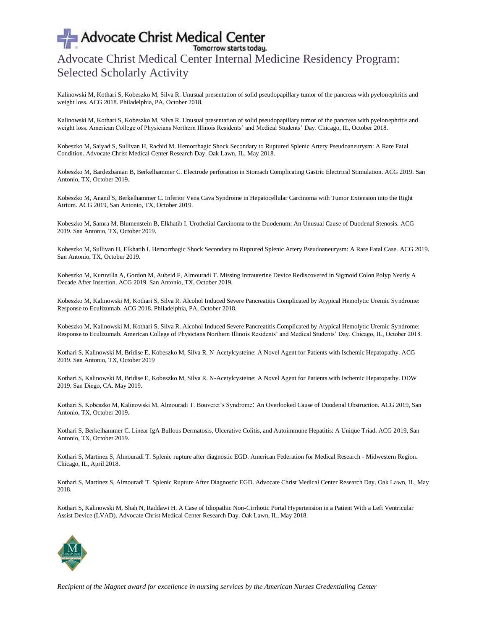## Advocate Christ Medical Center Internal Medicine Residency Program: Selected Scholarly Activity

Kalinowski M, Kothari S, Kobeszko M, Silva R. Unusual presentation of solid pseudopapillary tumor of the pancreas with pyelonephritis and weight loss. ACG 2018. Philadelphia, PA, October 2018.

Kalinowski M, Kothari S, Kobeszko M, Silva R. Unusual presentation of solid pseudopapillary tumor of the pancreas with pyelonephritis and weight loss. American College of Physicians Northern Illinois Residents' and Medical Students' Day. Chicago, IL, October 2018.

Kobeszko M, Saiyad S, Sullivan H, Rachid M. Hemorrhagic Shock Secondary to Ruptured Splenic Artery Pseudoaneurysm: A Rare Fatal Condition. Advocate Christ Medical Center Research Day. Oak Lawn, IL, May 2018.

Kobeszko M, Bardezbanian B, Berkelhammer C. Electrode perforation in Stomach Complicating Gastric Electrical Stimulation. ACG 2019. San Antonio, TX, October 2019.

Kobeszko M, Anand S, Berkelhammer C. Inferior Vena Cava Syndrome in Hepatocellular Carcinoma with Tumor Extension into the Right Atrium. ACG 2019, San Antonio, TX, October 2019.

Kobeszko M, Samra M, Blumenstein B, Elkhatib I. Urothelial Carcinoma to the Duodenum: An Unusual Cause of Duodenal Stenosis. ACG 2019. San Antonio, TX, October 2019.

Kobeszko M, Sullivan H, Elkhatib I. Hemorrhagic Shock Secondary to Ruptured Splenic Artery Pseudoaneurysm: A Rare Fatal Case. ACG 2019. San Antonio, TX, October 2019.

Kobeszko M, Kuruvilla A, Gordon M, Aubeid F, Almouradi T. Missing Intrauterine Device Rediscovered in Sigmoid Colon Polyp Nearly A Decade After Insertion. ACG 2019. San Antonio, TX, October 2019.

Kobeszko M, Kalinowski M, Kothari S, Silva R. Alcohol Induced Severe Pancreatitis Complicated by Atypical Hemolytic Uremic Syndrome: Response to Eculizumab. ACG 2018. Philadelphia, PA, October 2018.

Kobeszko M, Kalinowski M, Kothari S, Silva R. Alcohol Induced Severe Pancreatitis Complicated by Atypical Hemolytic Uremic Syndrome: Response to Eculizumab. American College of Physicians Northern Illinois Residents' and Medical Students' Day. Chicago, IL, October 2018.

Kothari S, Kalinowski M, Bridise E, Kobeszko M, Silva R. N-Acetylcysteine: A Novel Agent for Patients with Ischemic Hepatopathy. ACG 2019. San Antonio, TX, October 2019

Kothari S, Kalinowski M, Bridise E, Kobeszko M, Silva R. N-Acetylcysteine: A Novel Agent for Patients with Ischemic Hepatopathy. DDW 2019. San Diego, CA. May 2019.

Kothari S, Kobeszko M, Kalinowski M, Almouradi T. Bouveret's Syndrome: An Overlooked Cause of Duodenal Obstruction. ACG 2019, San Antonio, TX, October 2019.

Kothari S, Berkelhammer C. Linear IgA Bullous Dermatosis, Ulcerative Colitis, and Autoimmune Hepatitis: A Unique Triad. ACG 2019, San Antonio, TX, October 2019.

Kothari S, Martinez S, Almouradi T. Splenic rupture after diagnostic EGD. American Federation for Medical Research - Midwestern Region. Chicago, IL, April 2018.

Kothari S, Martinez S, Almouradi T. Splenic Rupture After Diagnostic EGD. Advocate Christ Medical Center Research Day. Oak Lawn, IL, May 2018.

Kothari S, Kalinowski M, Shah N, Raddawi H. A Case of Idiopathic Non-Cirrhotic Portal Hypertension in a Patient With a Left Ventricular Assist Device (LVAD). Advocate Christ Medical Center Research Day. Oak Lawn, IL, May 2018.

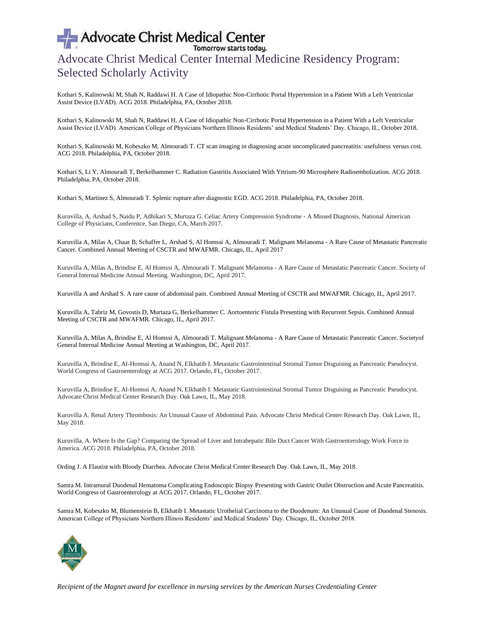## Advocate Christ Medical Center Internal Medicine Residency Program: Selected Scholarly Activity

Kothari S, Kalinowski M, Shah N, Raddawi H. A Case of Idiopathic Non-Cirrhotic Portal Hypertension in a Patient With a Left Ventricular Assist Device (LVAD). ACG 2018. Philadelphia, PA, October 2018.

Kothari S, Kalinowski M, Shah N, Raddawi H. A Case of Idiopathic Non-Cirrhotic Portal Hypertension in a Patient With a Left Ventricular Assist Device (LVAD). American College of Physicians Northern Illinois Residents' and Medical Students' Day. Chicago, IL, October 2018.

Kothari S, Kalinowski M, Kobeszko M, Almouradi T. CT scan imaging in diagnosing acute uncomplicated pancreatitis: usefulness versus cost. ACG 2018. Philadelphia, PA, October 2018.

Kothari S, Li Y, Almouradi T, Berkelhammer C. Radiation Gastritis Associated With Yttrium-90 Microsphere Radioembolization. ACG 2018. Philadelphia, PA, October 2018.

Kothari S, Martinez S, Almouradi T. Splenic rupture after diagnostic EGD. ACG 2018. Philadelphia, PA, October 2018.

Kuruvilla, A, Arshad S, Naidu P, Adhikari S, Murtaza G. Celiac Artery Compression Syndrome - A Missed Diagnosis. National American College of Physicians, Conference, San Diego, CA, March 2017.

Kuruvilla A, Milas A, Chaar B, Schaffer L, Arshad S, Al Homssi A, Almouradi T. Malignant Melanoma - A Rare Cause of Metastatic Pancreatic Cancer. Combined Annual Meeting of CSCTR and MWAFMR. Chicago, IL, April 2017

Kuruvilla A, Milas A, Brindise E, Al Homssi A, Almouradi T. Malignant Melanoma - A Rare Cause of Metastatic Pancreatic Cancer. Society of General Internal Medicine Annual Meeting. Washington, DC, April 2017.

Kuruvilla A and Arshad S. A rare cause of abdominal pain. Combined Annual Meeting of CSCTR and MWAFMR. Chicago, IL, April 2017.

Kuruvilla A, Tabriz M, Govostis D, Murtaza G, Berkelhammer C. Aortoenteric Fistula Presenting with Recurrent Sepsis. Combined Annual Meeting of CSCTR and MWAFMR. Chicago, IL, April 2017.

Kuruvilla A, Milas A, Brindise E, Al Homssi A, Almouradi T. Malignant Melanoma - A Rare Cause of Metastatic Pancreatic Cancer. Societyof General Internal Medicine Annual Meeting at Washington, DC, April 2017.

Kuruvilla A, Brindise E, Al-Homssi A, Anand N, Elkhatib I. Metastatic Gastrointestinal Stromal Tumor Disguising as Pancreatic Pseudocyst. World Congress of Gastroenterology at ACG 2017. Orlando, FL, October 2017.

Kuruvilla A, Brindise E, Al-Homssi A, Anand N, Elkhatib I. Metastatic Gastrointestinal Stromal Tumor Disguising as Pancreatic Pseudocyst. Advocate Christ Medical Center Research Day. Oak Lawn, IL, May 2018.

Kuruvilla A. Renal Artery Thrombosis: An Unusual Cause of Abdominal Pain. Advocate Christ Medical Center Research Day. Oak Lawn, IL, May 2018.

Kuruvilla, A. Where Is the Gap? Comparing the Spread of Liver and Intrahepatic Bile Duct Cancer With Gastroenterology Work Force in America. ACG 2018. Philadelphia, PA, October 2018.

Ording J. A Flautist with Bloody Diarrhea. Advocate Christ Medical Center Research Day. Oak Lawn, IL, May 2018.

Samra M. Intramural Duodenal Hematoma Complicating Endoscopic Biopsy Presenting with Gastric Outlet Obstruction and Acute Pancreatitis. World Congress of Gastroenterology at ACG 2017. Orlando, FL, October 2017.

Samra M, Kobeszko M, Blumenstein B, Elkhatib I. Metastatic Urothelial Carcinoma to the Duodenum: An Unusual Cause of Duodenal Stenosis. American College of Physicians Northern Illinois Residents' and Medical Students' Day. Chicago, IL, October 2018.

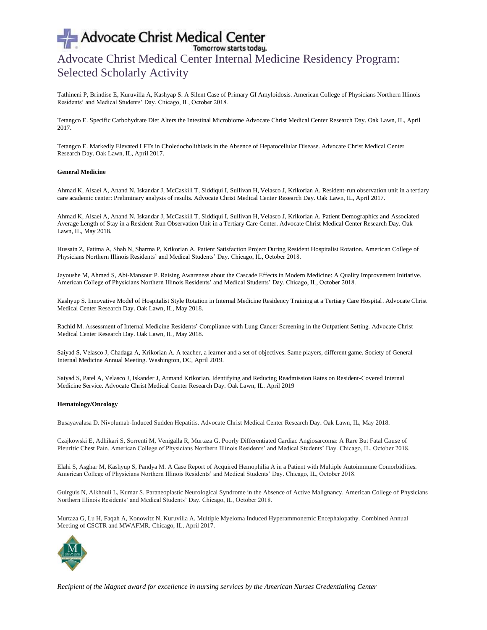## Advocate Christ Medical Center Internal Medicine Residency Program: Selected Scholarly Activity

Tathineni P, Brindise E, Kuruvilla A, Kashyap S. A Silent Case of Primary GI Amyloidosis. American College of Physicians Northern Illinois Residents' and Medical Students' Day. Chicago, IL, October 2018.

Tetangco E. Specific Carbohydrate Diet Alters the Intestinal Microbiome Advocate Christ Medical Center Research Day. Oak Lawn, IL, April 2017.

Tetangco E. Markedly Elevated LFTs in Choledocholithiasis in the Absence of Hepatocellular Disease. Advocate Christ Medical Center Research Day. Oak Lawn, IL, April 2017.

### **General Medicine**

Ahmad K, Alsaei A, Anand N, Iskandar J, McCaskill T, Siddiqui I, Sullivan H, Velasco J, Krikorian A. Resident-run observation unit in a tertiary care academic center: Preliminary analysis of results. Advocate Christ Medical Center Research Day. Oak Lawn, IL, April 2017.

Ahmad K, Alsaei A, Anand N, Iskandar J, McCaskill T, Siddiqui I, Sullivan H, Velasco J, Krikorian A. Patient Demographics and Associated Average Length of Stay in a Resident-Run Observation Unit in a Tertiary Care Center. Advocate Christ Medical Center Research Day. Oak Lawn, IL, May 2018.

Hussain Z, Fatima A, Shah N, Sharma P, Krikorian A. Patient Satisfaction Project During Resident Hospitalist Rotation. American College of Physicians Northern Illinois Residents' and Medical Students' Day. Chicago, IL, October 2018.

Jayoushe M, Ahmed S, Abi-Mansour P. Raising Awareness about the Cascade Effects in Modern Medicine: A Quality Improvement Initiative. American College of Physicians Northern Illinois Residents' and Medical Students' Day. Chicago, IL, October 2018.

Kashyup S. Innovative Model of Hospitalist Style Rotation in Internal Medicine Residency Training at a Tertiary Care Hospital. Advocate Christ Medical Center Research Day. Oak Lawn, IL, May 2018.

Rachid M. Assessment of Internal Medicine Residents' Compliance with Lung Cancer Screening in the Outpatient Setting. Advocate Christ Medical Center Research Day. Oak Lawn, IL, May 2018.

Saiyad S, Velasco J, Chadaga A, Krikorian A. A teacher, a learner and a set of objectives. Same players, different game. Society of General Internal Medicine Annual Meeting. Washington, DC, April 2019.

Saiyad S, Patel A, Velasco J, Iskander J, Armand Krikorian. Identifying and Reducing Readmission Rates on Resident-Covered Internal Medicine Service. Advocate Christ Medical Center Research Day. Oak Lawn, IL. April 2019

#### **Hematology/Oncology**

Busayavalasa D. Nivolumab-Induced Sudden Hepatitis. Advocate Christ Medical Center Research Day. Oak Lawn, IL, May 2018.

Czajkowski E, Adhikari S, Sorrenti M, Venigalla R, Murtaza G. Poorly Differentiated Cardiac Angiosarcoma: A Rare But Fatal Cause of Pleuritic Chest Pain. American College of Physicians Northern Illinois Residents' and Medical Students' Day. Chicago, IL. October 2018.

Elahi S, Asghar M, Kashyup S, Pandya M. A Case Report of Acquired Hemophilia A in a Patient with Multiple Autoimmune Comorbidities. American College of Physicians Northern Illinois Residents' and Medical Students' Day. Chicago, IL, October 2018.

Guirguis N, Alkhouli L, Kumar S. Paraneoplastic Neurological Syndrome in the Absence of Active Malignancy. American College of Physicians Northern Illinois Residents' and Medical Students' Day. Chicago, IL, October 2018.

Murtaza G, Lu H, Faqah A, Konowitz N, Kuruvilla A. Multiple Myeloma Induced Hyperammonemic Encephalopathy. Combined Annual Meeting of CSCTR and MWAFMR. Chicago, IL, April 2017.

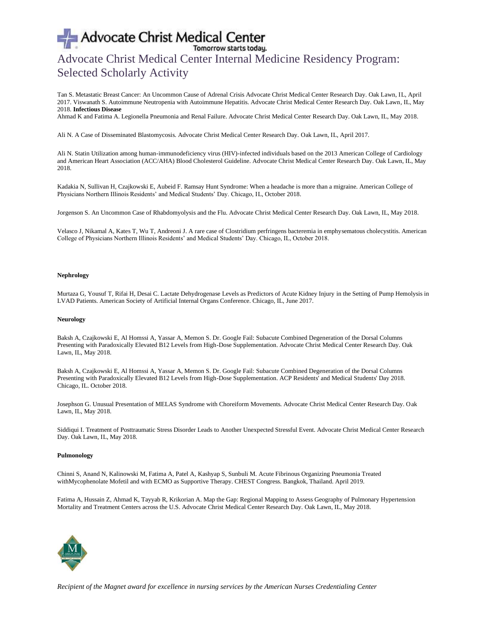# Advocate Christ Medical Center<br>
Tomorrow starts today.<br>
Advocate Christ Medical Center Internal Medicine Residency Program: Selected Scholarly Activity

Tan S. Metastatic Breast Cancer: An Uncommon Cause of Adrenal Crisis Advocate Christ Medical Center Research Day. Oak Lawn, IL, April 2017. Viswanath S. Autoimmune Neutropenia with Autoimmune Hepatitis. Advocate Christ Medical Center Research Day. Oak Lawn, IL, May 2018. **Infectious Disease**

Ahmad K and Fatima A. Legionella Pneumonia and Renal Failure. Advocate Christ Medical Center Research Day. Oak Lawn, IL, May 2018.

Ali N. A Case of Disseminated Blastomycosis. Advocate Christ Medical Center Research Day. Oak Lawn, IL, April 2017.

Ali N. Statin Utilization among human-immunodeficiency virus (HIV)-infected individuals based on the 2013 American College of Cardiology and American Heart Association (ACC/AHA) Blood Cholesterol Guideline. Advocate Christ Medical Center Research Day. Oak Lawn, IL, May 2018.

Kadakia N, Sullivan H, Czajkowski E, Aubeid F. Ramsay Hunt Syndrome: When a headache is more than a migraine. American College of Physicians Northern Illinois Residents' and Medical Students' Day. Chicago, IL, October 2018.

Jorgenson S. An Uncommon Case of Rhabdomyolysis and the Flu. Advocate Christ Medical Center Research Day. Oak Lawn, IL, May 2018.

Velasco J, Nikamal A, Kates T, Wu T, Andreoni J. A rare case of Clostridium perfringens bacteremia in emphysematous cholecystitis. American College of Physicians Northern Illinois Residents' and Medical Students' Day. Chicago, IL, October 2018.

## **Nephrology**

Murtaza G, Yousuf T, Rifai H, Desai C. Lactate Dehydrogenase Levels as Predictors of Acute Kidney Injury in the Setting of Pump Hemolysis in LVAD Patients. American Society of Artificial Internal Organs Conference. Chicago, IL, June 2017.

#### **Neurology**

Baksh A, Czajkowski E, Al Homssi A, Yassar A, Memon S. Dr. Google Fail: Subacute Combined Degeneration of the Dorsal Columns Presenting with Paradoxically Elevated B12 Levels from High-Dose Supplementation. Advocate Christ Medical Center Research Day. Oak Lawn, IL, May 2018.

Baksh A, Czajkowski E, Al Homssi A, Yassar A, Memon S. Dr. Google Fail: Subacute Combined Degeneration of the Dorsal Columns Presenting with Paradoxically Elevated B12 Levels from High-Dose Supplementation. ACP Residents' and Medical Students' Day 2018. Chicago, IL. October 2018.

Josephson G. Unusual Presentation of MELAS Syndrome with Choreiform Movements. Advocate Christ Medical Center Research Day. Oak Lawn, IL, May 2018.

Siddiqui I. Treatment of Posttraumatic Stress Disorder Leads to Another Unexpected Stressful Event. Advocate Christ Medical Center Research Day. Oak Lawn, IL, May 2018.

#### **Pulmonology**

Chinni S, Anand N, Kalinowski M, Fatima A, Patel A, Kashyap S, Sunbuli M. Acute Fibrinous Organizing Pneumonia Treated withMycophenolate Mofetil and with ECMO as Supportive Therapy. CHEST Congress. Bangkok, Thailand. April 2019.

Fatima A, Hussain Z, Ahmad K, Tayyab R, Krikorian A. Map the Gap: Regional Mapping to Assess Geography of Pulmonary Hypertension Mortality and Treatment Centers across the U.S. Advocate Christ Medical Center Research Day. Oak Lawn, IL, May 2018.

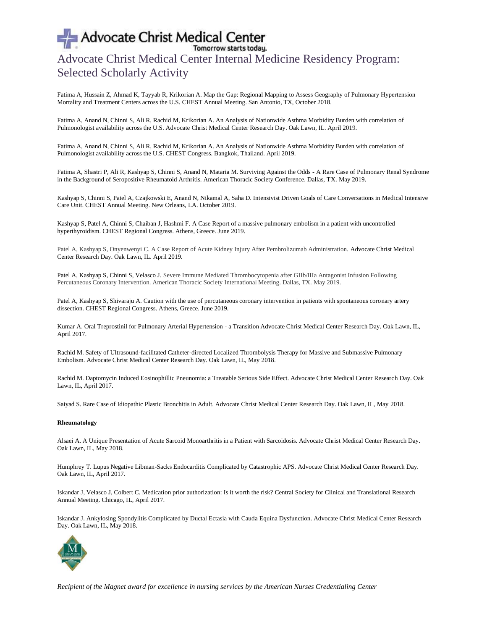## Advocate Christ Medical Center Internal Medicine Residency Program: Selected Scholarly Activity

Fatima A, Hussain Z, Ahmad K, Tayyab R, Krikorian A. Map the Gap: Regional Mapping to Assess Geography of Pulmonary Hypertension Mortality and Treatment Centers across the U.S. CHEST Annual Meeting. San Antonio, TX, October 2018.

Fatima A, Anand N, Chinni S, Ali R, Rachid M, Krikorian A. An Analysis of Nationwide Asthma Morbidity Burden with correlation of Pulmonologist availability across the U.S. Advocate Christ Medical Center Research Day. Oak Lawn, IL. April 2019.

Fatima A, Anand N, Chinni S, Ali R, Rachid M, Krikorian A. An Analysis of Nationwide Asthma Morbidity Burden with correlation of Pulmonologist availability across the U.S. CHEST Congress. Bangkok, Thailand. April 2019.

Fatima A, Shastri P, Ali R, Kashyap S, Chinni S, Anand N, Mataria M. Surviving Against the Odds - A Rare Case of Pulmonary Renal Syndrome in the Background of Seropositive Rheumatoid Arthritis. American Thoracic Society Conference. Dallas, TX. May 2019.

Kashyap S, Chinni S, Patel A, Czajkowski E, Anand N, Nikamal A, Saha D. Intensivist Driven Goals of Care Conversations in Medical Intensive Care Unit. CHEST Annual Meeting. New Orleans, LA. October 2019.

Kashyap S, Patel A, Chinni S, Chaiban J, Hashmi F. A Case Report of a massive pulmonary embolism in a patient with uncontrolled hyperthyroidism. CHEST Regional Congress. Athens, Greece. June 2019.

Patel A, Kashyap S, Onyenwenyi C. A Case Report of Acute Kidney Injury After Pembrolizumab Administration. Advocate Christ Medical Center Research Day. Oak Lawn, IL. April 2019.

Patel A, Kashyap S, Chinni S, Velasco J. Severe Immune Mediated Thrombocytopenia after GIIb/IIIa Antagonist Infusion Following Percutaneous Coronary Intervention. American Thoracic Society International Meeting. Dallas, TX. May 2019.

Patel A, Kashyap S, Shivaraju A. Caution with the use of percutaneous coronary intervention in patients with spontaneous coronary artery dissection. CHEST Regional Congress. Athens, Greece. June 2019.

Kumar A. Oral Treprostinil for Pulmonary Arterial Hypertension - a Transition Advocate Christ Medical Center Research Day. Oak Lawn, IL, April 2017.

Rachid M. Safety of Ultrasound-facilitated Catheter-directed Localized Thrombolysis Therapy for Massive and Submassive Pulmonary Embolism. Advocate Christ Medical Center Research Day. Oak Lawn, IL, May 2018.

Rachid M. Daptomycin Induced Eosinophillic Pneunomia: a Treatable Serious Side Effect. Advocate Christ Medical Center Research Day. Oak Lawn, IL, April 2017.

Saiyad S. Rare Case of Idiopathic Plastic Bronchitis in Adult. Advocate Christ Medical Center Research Day. Oak Lawn, IL, May 2018.

### **Rheumatology**

Alsaei A. A Unique Presentation of Acute Sarcoid Monoarthritis in a Patient with Sarcoidosis. Advocate Christ Medical Center Research Day. Oak Lawn, IL, May 2018.

Humphrey T. Lupus Negative Libman-Sacks Endocarditis Complicated by Catastrophic APS. Advocate Christ Medical Center Research Day. Oak Lawn, IL, April 2017.

Iskandar J, Velasco J, Colbert C. Medication prior authorization: Is it worth the risk? Central Society for Clinical and Translational Research Annual Meeting. Chicago, IL, April 2017.

Iskandar J. Ankylosing Spondylitis Complicated by Ductal Ectasia with Cauda Equina Dysfunction. Advocate Christ Medical Center Research Day. Oak Lawn, IL, May 2018.